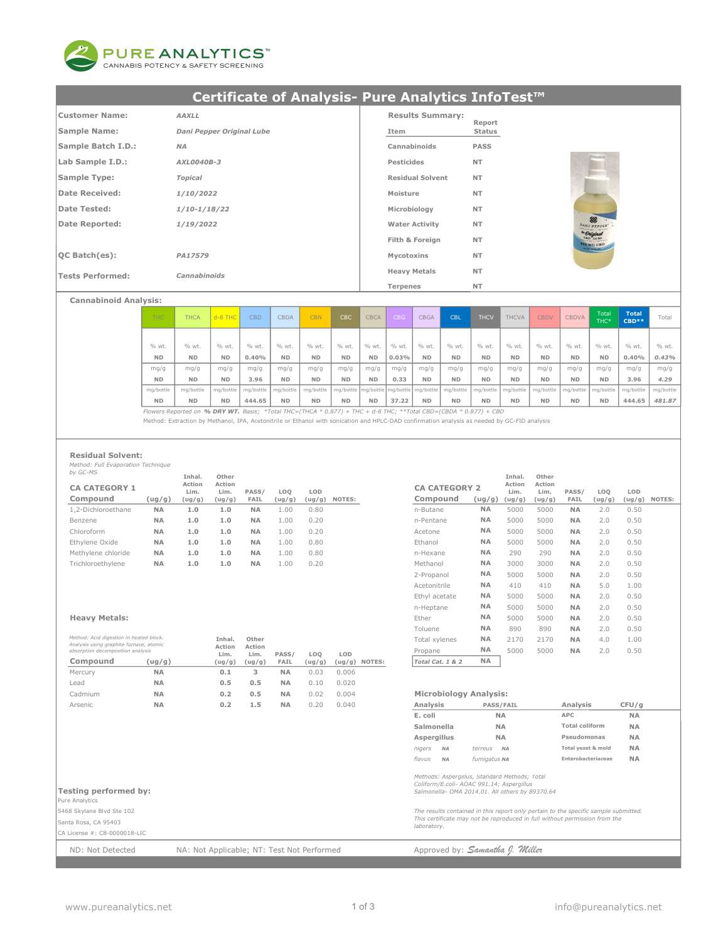

# Certificate of Analysis- Pure Analytics InfoTest™

| Customer Name:          | <b>AAXLL</b>              | <b>Results Summary:</b> | Report      |                                      |
|-------------------------|---------------------------|-------------------------|-------------|--------------------------------------|
| Sample Name:            | Dani Pepper Original Lube | Item                    | Status      |                                      |
| Sample Batch I.D.:      | <b>NA</b>                 | Cannabinoids            | <b>PASS</b> |                                      |
| Lab Sample I.D.:        | AXL0040B-3                | Pesticides              | <b>NT</b>   |                                      |
| Sample Type:            | Topical                   | <b>Residual Solvent</b> | <b>NT</b>   |                                      |
| Date Received:          | 1/10/2022                 | Moisture                | <b>NT</b>   |                                      |
| Date Tested:            | $1/10 - 1/18/22$          | Microbiology            | <b>NT</b>   |                                      |
| Date Reported:          | 1/19/2022                 | <b>Water Activity</b>   | <b>NT</b>   | $\Leftrightarrow$<br>DANI PEPPER     |
|                         |                           | Filth & Foreign         | <b>NT</b>   | <sup>de</sup> Original<br>450 MG CBD |
| OCBatch(es):            | PA17579                   | Mycotoxins              | <b>NT</b>   |                                      |
| <b>Tests Performed:</b> | Cannabinoids              | <b>Heavy Metals</b>     | <b>NT</b>   |                                      |
|                         |                           | Terpenes                | <b>NT</b>   |                                      |

Cannabinoid Analysis:

| THC:      | <b>THCA</b>                                                                                                      | $d - 8$ THC | <b>CBD</b> | <b>CBDA</b> | <b>CBN</b> | <b>CBC</b>                              | <b>CBCA</b> | <b>CBG</b> | <b>CBGA</b> | <b>CBL</b> | <b>THCV</b> | <b>THCVA</b> | <b>CBDV</b> | <b>CBDVA</b> | Total<br>THC* | <b>Total</b><br>$CBD$ ** | Total     |
|-----------|------------------------------------------------------------------------------------------------------------------|-------------|------------|-------------|------------|-----------------------------------------|-------------|------------|-------------|------------|-------------|--------------|-------------|--------------|---------------|--------------------------|-----------|
|           |                                                                                                                  |             |            |             |            |                                         |             |            |             |            |             |              |             |              |               |                          |           |
| % wt.     | % wt.                                                                                                            | % wt.       | % wt.      | % wt.       | % wt.      | % wt.                                   | % wt.       | % wt.      | % wt.       | % wt.      | % wt.       | % wt.        | % wt.       | % wt.        | % wt.         | % wt.                    | % wt.     |
| <b>ND</b> | <b>ND</b>                                                                                                        | <b>ND</b>   | 0.40%      | <b>ND</b>   | <b>ND</b>  | <b>ND</b>                               | <b>ND</b>   | $0.03\%$   | <b>ND</b>   | <b>ND</b>  | <b>ND</b>   | <b>ND</b>    | <b>ND</b>   | <b>ND</b>    | <b>ND</b>     | 0.40%                    | 0.43%     |
| mg/g      | mq/q                                                                                                             | mq/q        | mq/q       | mq/q        | mq/q       | mq/q                                    | mq/q        | mq/q       | mq/q        | mq/q       | mq/q        | mq/q         | mq/q        | mq/q         | mq/q          | mq/q                     | mq/q      |
| <b>ND</b> | <b>ND</b>                                                                                                        | <b>ND</b>   | 3.96       | <b>ND</b>   | <b>ND</b>  | <b>ND</b>                               | <b>ND</b>   | 0.33       | <b>ND</b>   | <b>ND</b>  | <b>ND</b>   | <b>ND</b>    | <b>ND</b>   | <b>ND</b>    | <b>ND</b>     | 3.96                     | 4.29      |
| mg/bottle | mg/bottle                                                                                                        | mg/bottle   | mg/bottle  | mg/bottle   | mg/bottle  | mq/bottle mq/bottle mq/bottle mq/bottle |             |            |             | mg/bottle  | mg/bottle   | mg/bottle    | mg/bottle   | mg/bottle    | ma/bottle     | mg/bottle                | mg/bottle |
| <b>ND</b> | <b>ND</b>                                                                                                        | <b>ND</b>   | 444.65     | <b>ND</b>   | <b>ND</b>  | <b>ND</b>                               | <b>ND</b>   | 37.22      | <b>ND</b>   | <b>ND</b>  | <b>ND</b>   | <b>ND</b>    | <b>ND</b>   | <b>ND</b>    | <b>ND</b>     | 444.65                   | 481.87    |
|           | Flowers Reported on % DRY WT. Basis; *Total THC=(THCA * 0.877) + THC + d-8 THC; **Total CBD=(CBDA * 0.877) + CBD |             |            |             |            |                                         |             |            |             |            |             |              |             |              |               |                          |           |

Method: Extraction by Methanol, IPA, Acetonitrile or Ethanol with sonication and HPLC-DAD confirmation analysis as needed by GC-FID analysis

#### Residual Solvent:

Method: Full Evaporation Technique by GC-MS

| $DY$ UC- $M$         |           | Inhal.         | Other          |             |                 |        |        |                      |           | Inhal.         | Other          |             |        |      |               |
|----------------------|-----------|----------------|----------------|-------------|-----------------|--------|--------|----------------------|-----------|----------------|----------------|-------------|--------|------|---------------|
| <b>CA CATEGORY 1</b> |           | Action<br>Lim. | Action<br>Lim. | PASS/       | LO <sub>0</sub> | LOD    |        | <b>CA CATEGORY 2</b> |           | Action<br>Lim. | Action<br>Lim. | PASS/       | LOO    | LOD  |               |
| Compound             | (ug/g)    | (ug/g)         | (ug/g)         | <b>FAIL</b> | (ug/g)          | (ug/g) | NOTES: | Compound             | (ug/g)    | (ug/g)         | (ug/g)         | <b>FAIL</b> | (ug/g) |      | (ug/g) NOTES: |
| 1.2-Dichloroethane   | <b>NA</b> | 1.0            | 1.0            | <b>NA</b>   | 1.00            | 0.80   |        | n-Butane             | <b>NA</b> | 5000           | 5000           | <b>NA</b>   | 2.0    | 0.50 |               |
| Benzene              | <b>NA</b> | 1.0            | 1.0            | <b>NA</b>   | 1.00            | 0.20   |        | n-Pentane            | <b>NA</b> | 5000           | 5000           | <b>NA</b>   | 2.0    | 0.50 |               |
| Chloroform           | <b>NA</b> | 1.0            | 1.0            | <b>NA</b>   | 1.00            | 0.20   |        | Acetone              | <b>NA</b> | 5000           | 5000           | <b>NA</b>   | 2.0    | 0.50 |               |
| Ethylene Oxide       | <b>NA</b> | 1.0            | 1.0            | <b>NA</b>   | 1.00            | 0.80   |        | Ethanol              | <b>NA</b> | 5000           | 5000           | <b>NA</b>   | 2.0    | 0.50 |               |
| Methylene chloride   | <b>NA</b> | 1.0            | 1.0            | <b>NA</b>   | 1.00            | 0.80   |        | n-Hexane             | <b>NA</b> | 290            | 290            | <b>NA</b>   | 2.0    | 0.50 |               |
| Trichloroethylene    | <b>NA</b> | 1.0            | 1.0            | <b>NA</b>   | 1.00            | 0.20   |        | Methanol             | <b>NA</b> | 3000           | 3000           | <b>NA</b>   | 2.0    | 0.50 |               |
|                      |           |                |                |             |                 |        |        |                      |           |                |                |             |        |      |               |

| Method: Acid digestion in heated block.<br>Analysis using graphite furnace, atomic |           | Inhal.<br>Action | Other<br>Action |           |        |       |                 | Total xvlenes                 | <b>NA</b>        | 2170 | 2170 | <b>NA</b> | 4.0 | 1.00  |
|------------------------------------------------------------------------------------|-----------|------------------|-----------------|-----------|--------|-------|-----------------|-------------------------------|------------------|------|------|-----------|-----|-------|
| absorption decomposition analysis                                                  |           | Lim.             | Lim.            | PASS/     | LOO    | LOD   |                 | Propane                       | <b>NA</b>        | 5000 | 5000 | <b>NA</b> | 2.0 | 0.50  |
| Compound                                                                           | (ug/g)    | (ug/g)           | (ug/g)          | FAIL      | (ug/g) |       | $(ug/g)$ NOTES: | Total Cat. 1 & 2              | <b>NA</b>        |      |      |           |     |       |
| Mercury                                                                            | <b>NA</b> | 0.1              |                 | <b>NA</b> | 0.03   | 0.006 |                 |                               |                  |      |      |           |     |       |
| Lead                                                                               | <b>NA</b> | 0.5              | 0.5             | <b>NA</b> | 0.10   | 0.020 |                 |                               |                  |      |      |           |     |       |
| Cadmium                                                                            | <b>NA</b> | 0.2              | 0.5             | <b>NA</b> | 0.02   | 0.004 |                 | <b>Microbiology Analysis:</b> |                  |      |      |           |     |       |
| Arsenic                                                                            | <b>NA</b> | 0.2              | 1.5             | <b>NA</b> | 0.20   | 0.040 |                 | Analysis                      | <b>PASS/FAIL</b> |      |      | Analysis  |     | CFU/g |

#### CA CATEGORY 2 Acetone **NA 5000 5000 NA 2.0 0.50** Ethylene Oxide NA 1.0 1.0 NA 1.00 0.80 Ethanol NA 5000 5000 NA 2.0 0.50 2-Propanol NA 5000 5000 NA 2.0 0.50 Acetonitrile **NA** 410 410 **NA** 5.0 1.00 Ethyl acetate NA 5000 5000 NA 2.0 0.50 Ethyl acetate **NA** 5000 5000 **NA** 2.0 0.50<br>n-Heptane **NA** 5000 5000 **NA** 2.0 0.50 Ether **NA** 5000 5000 **NA** 2.0 0.50<br> *Method: Acid digestion in heated block*. **Inhal. Other Ether NA** 890 890 **NA** 2.0 0.50<br> *Method: Acid digestion in heated block*. **Inhal. Other Company of the Company Strategy RA** 2 Toluene NA 890 890 NA 2.0 0.50 Total xylenes NA 2170 2170 NA 4.0 1.00 Propane **NA** 5000 5000 **NA** 2.0 0.50  $\boxed{\text{Total Cat. 1 & 2} \qquad \text{NA}}$ Inhal. Action Action Other Lim. PASS/  $\frac{FAIL}{NA}$ LOQ (ug/g) (ug/g) LOD

#### Microbiology Analysis:

| Analysis    |           | <b>PASS/FAIL</b>     | Analysis              | CFU/a     |
|-------------|-----------|----------------------|-----------------------|-----------|
| E. coli     |           | NΑ                   | <b>APC</b>            | <b>NA</b> |
| Salmonella  |           | <b>NA</b>            | <b>Total coliform</b> | <b>NA</b> |
| Aspergillus |           | <b>NA</b>            | Pseudomonas           | <b>NA</b> |
| niaers      | <b>NA</b> | terreus<br><b>NA</b> | Total yeast & mold    | <b>NA</b> |
| flavus      | <b>NA</b> | fumigatus NA         | Enterobacteriaceae    | <b>NA</b> |

#### Testing performed by:

Pure Analytics

5468 Skylane Blvd Ste 102 Santa Rosa, CA 95403

#### CA License #: C8-0000018-LIC

ND: Not Detected MA: Not Applicable; NT: Test Not Performed Approved by: Samantha J. Willer

# Methods: Aspergillus, Standard Methods; Total Coliform/E.coli- AOAC 991.14; Aspergillus Salmonella- OMA 2014.01. All others by 89370.64

The results contained in this report only pertain to the specific sample submitted. This certificate may not be reproduced in full without permission from the laboratory.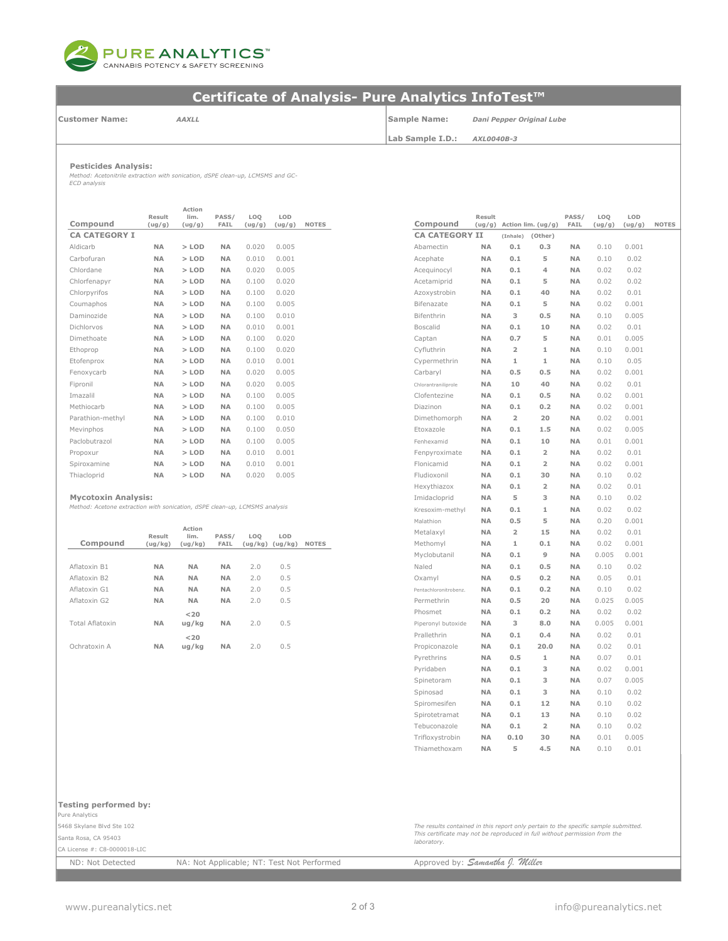

# Certificate of Analysis- Pure Analytics InfoTest™

Customer Name:

#### AAXLL

Sample Name: Lab Sample I.D.:

AXL0040B-3 Dani Pepper Original Lube

Pesticides Analysis:

Method: Acetonitrile extraction with sonication, dSPE clean-up, LCMSMS and GC-ECD analysis

|                      | Result    | Action<br>lim. | PASS/     | LOQ    | LOD    |              |                       | Result    |                |                      | PASS/     |  |
|----------------------|-----------|----------------|-----------|--------|--------|--------------|-----------------------|-----------|----------------|----------------------|-----------|--|
| Compound             | (ug/g)    | (ug/g)         | FAIL      | (ug/g) | (ug/g) | <b>NOTES</b> | Compound              | (ug/g)    |                | Action $lim. (ug/g)$ | FAIL      |  |
| <b>CA CATEGORY I</b> |           |                |           |        |        |              | <b>CA CATEGORY II</b> |           | (Inhale)       | (Other)              |           |  |
| Aldicarb             | <b>NA</b> | $>$ LOD        | <b>NA</b> | 0.020  | 0.005  |              | Abamectin             | <b>NA</b> | 0.1            | 0.3                  | <b>NA</b> |  |
| Carbofuran           | <b>NA</b> | $>$ LOD        | <b>NA</b> | 0.010  | 0.001  |              | Acephate              | <b>NA</b> | 0.1            | 5                    | <b>NA</b> |  |
| Chlordane            | <b>NA</b> | $>$ LOD        | <b>NA</b> | 0.020  | 0.005  |              | Aceauinocvl           | <b>NA</b> | 0.1            | 4                    | <b>NA</b> |  |
| Chlorfenapyr         | <b>NA</b> | $>$ LOD        | <b>NA</b> | 0.100  | 0.020  |              | Acetamiprid           | <b>NA</b> | 0.1            | 5                    | <b>NA</b> |  |
| Chlorpyrifos         | <b>NA</b> | $>$ LOD        | <b>NA</b> | 0.100  | 0.020  |              | Azoxystrobin          | <b>NA</b> | 0.1            | 40                   | <b>NA</b> |  |
| Coumaphos            | <b>NA</b> | $>$ LOD        | <b>NA</b> | 0.100  | 0.005  |              | Bifenazate            | <b>NA</b> | 0.1            | 5                    | <b>NA</b> |  |
| Daminozide           | <b>NA</b> | $>$ LOD        | <b>NA</b> | 0.100  | 0.010  |              | Bifenthrin            | <b>NA</b> | 3              | 0.5                  | <b>NA</b> |  |
| Dichlorvos           | <b>NA</b> | $>$ LOD        | <b>NA</b> | 0.010  | 0.001  |              | <b>Boscalid</b>       | <b>NA</b> | 0.1            | 10                   | <b>NA</b> |  |
| Dimethoate           | <b>NA</b> | $>$ LOD        | <b>NA</b> | 0.100  | 0.020  |              | Captan                | <b>NA</b> | 0.7            | 5                    | <b>NA</b> |  |
| Ethoprop             | <b>NA</b> | $>$ LOD        | <b>NA</b> | 0.100  | 0.020  |              | Cyfluthrin            | <b>NA</b> | $\overline{2}$ | $\mathbf{1}$         | <b>NA</b> |  |
| Etofenprox           | <b>NA</b> | $>$ LOD        | <b>NA</b> | 0.010  | 0.001  |              | Cypermethrin          | <b>NA</b> | $\mathbf{1}$   | $\mathbf{1}$         | <b>NA</b> |  |
| Fenoxycarb           | <b>NA</b> | $>$ LOD        | <b>NA</b> | 0.020  | 0.005  |              | Carbaryl              | <b>NA</b> | 0.5            | 0.5                  | <b>NA</b> |  |
| Fipronil             | <b>NA</b> | $>$ LOD        | <b>NA</b> | 0.020  | 0.005  |              | Chlorantraniliprole   | <b>NA</b> | 10             | 40                   | <b>NA</b> |  |
| Imazalil             | <b>NA</b> | $>$ LOD        | <b>NA</b> | 0.100  | 0.005  |              | Clofentezine          | <b>NA</b> | 0.1            | 0.5                  | <b>NA</b> |  |
| Methiocarb           | <b>NA</b> | $>$ LOD        | <b>NA</b> | 0.100  | 0.005  |              | Diazinon              | <b>NA</b> | 0.1            | 0.2                  | <b>NA</b> |  |
| Parathion-methyl     | <b>NA</b> | $>$ LOD        | <b>NA</b> | 0.100  | 0.010  |              | Dimethomorph          | <b>NA</b> | $\overline{2}$ | 20                   | <b>NA</b> |  |
| Mevinphos            | <b>NA</b> | $>$ LOD        | <b>NA</b> | 0.100  | 0.050  |              | Etoxazole             | <b>NA</b> | 0.1            | 1.5                  | <b>NA</b> |  |
| Paclobutrazol        | <b>NA</b> | $>$ LOD        | <b>NA</b> | 0.100  | 0.005  |              | Fenhexamid            | <b>NA</b> | 0.1            | 10                   | <b>NA</b> |  |
| Propoxur             | <b>NA</b> | $>$ LOD        | <b>NA</b> | 0.010  | 0.001  |              | Fenpyroximate         | <b>NA</b> | 0.1            | $\overline{2}$       | <b>NA</b> |  |
| Spiroxamine          | <b>NA</b> | $>$ LOD        | <b>NA</b> | 0.010  | 0.001  |              | Flonicamid            | <b>NA</b> | 0.1            | $\overline{2}$       | <b>NA</b> |  |
| Thiacloprid          | <b>NA</b> | $>$ LOD        | <b>NA</b> | 0.020  | 0.005  |              | Fludioxonil           | <b>NA</b> | 0.1            | 30                   | <b>NA</b> |  |
|                      |           |                |           |        |        |              |                       |           |                |                      |           |  |

#### Mycotoxin Analysis:

Method: Acetone extraction with sonication, dSPE clean-up, LCMSMS analysis

|                 | Result    | Action<br>lim. | PASS/       | LOQ     | LOD     |              | Metalaxyl             | <b>NA</b>  | 2             | 15   | <b>NA</b>  | 0.02  | 0.01  |
|-----------------|-----------|----------------|-------------|---------|---------|--------------|-----------------------|------------|---------------|------|------------|-------|-------|
| Compound        | (ug/kg)   | (ug/kg)        | <b>FAIL</b> | (ug/kg) | (ug/kg) | <b>NOTES</b> | Methomyl              | <b>NA</b>  | 1             | 0.1  | <b>NA</b>  | 0.02  | 0.001 |
|                 |           |                |             |         |         |              | Myclobutanil          | <b>NA</b>  | 0.1           | 9    | <b>NA</b>  | 0.005 | 0.001 |
| Aflatoxin B1    | <b>NA</b> | <b>NA</b>      | <b>NA</b>   | 2.0     | 0.5     |              | Naled                 | <b>NA</b>  | 0.1           | 0.5  | <b>NA</b>  | 0.10  | 0.02  |
| Aflatoxin B2    | <b>NA</b> | <b>NA</b>      | <b>NA</b>   | 2.0     | 0.5     |              | Oxamyl                | <b>NA</b>  | 0.5           | 0.2  | <b>NA</b>  | 0.05  | 0.01  |
| Aflatoxin G1    | <b>NA</b> | <b>NA</b>      | <b>NA</b>   | 2.0     | 0.5     |              | Pentachloronitrobenz. | <b>NA</b>  | 0.1           | 0.2  | <b>NA</b>  | 0.10  | 0.02  |
| Aflatoxin G2    | <b>NA</b> | <b>NA</b>      | <b>NA</b>   | 2.0     | 0.5     |              | Permethrin            | <b>NA</b>  | 0.5           | 20   | <b>NA</b>  | 0.025 | 0.005 |
|                 |           | $<$ 20         |             |         |         |              | Phosmet               | <b>NA</b>  | 0.1           | 0.2  | <b>NA</b>  | 0.02  | 0.02  |
| Total Aflatoxin | <b>NA</b> | uq/kg          | <b>NA</b>   | 2.0     | 0.5     |              | Piperonyl butoxide    | <b>NA</b>  | 3             | 8.0  | <b>NA</b>  | 0.005 | 0.001 |
|                 |           | $<$ 20         |             |         |         |              | Prallethrin           | <b>NA</b>  | 0.1           | 0.4  | <b>NA</b>  | 0.02  | 0.01  |
| Ochratoxin A    | <b>NA</b> | ug/kg          | <b>NA</b>   | 2.0     | 0.5     |              | Propiconazole         | <b>NA</b>  | 0.1           | 20.0 | <b>NA</b>  | 0.02  | 0.01  |
|                 |           |                |             |         |         |              | Durchbring            | <b>BLA</b> | $\cap$ $\Box$ | - 11 | <b>BLA</b> | 0.07  | 0.01  |

|               | Action                                         |               |               |                            |              |                       |                  |                         |                         |               |               |               |
|---------------|------------------------------------------------|---------------|---------------|----------------------------|--------------|-----------------------|------------------|-------------------------|-------------------------|---------------|---------------|---------------|
| esult<br>g/g) | lim.<br>(ug/g)                                 | PASS/<br>FAIL | LOO<br>(ug/g) | LOD<br>(ug/g)              | <b>NOTES</b> | Compound              | Result<br>(ug/g) |                         | Action lim. (ug/g)      | PASS/<br>FAIL | LOO<br>(ug/g) | LOD<br>(ug/g) |
|               |                                                |               |               |                            |              | <b>CA CATEGORY II</b> |                  | (Inhale)                | (Other)                 |               |               |               |
| NΑ            | $>$ LOD                                        | <b>NA</b>     | 0.020         | 0.005                      |              | Abamectin             | <b>NA</b>        | 0.1                     | 0.3                     | <b>NA</b>     | 0.10          | 0.001         |
| NΑ            | $>$ LOD                                        | <b>NA</b>     | 0.010         | 0.001                      |              | Acephate              | <b>NA</b>        | 0.1                     | 5                       | <b>NA</b>     | 0.10          | 0.02          |
| ΝA            | $>$ LOD                                        | <b>NA</b>     | 0.020         | 0.005                      |              | Acequinocyl           | <b>NA</b>        | 0.1                     | 4                       | <b>NA</b>     | 0.02          | 0.02          |
| ΝA            | $>$ LOD                                        | <b>NA</b>     | 0.100         | 0.020                      |              | Acetamiprid           | <b>NA</b>        | 0.1                     | 5                       | <b>NA</b>     | 0.02          | 0.02          |
| ΝA            | $>$ LOD                                        | <b>NA</b>     | 0.100         | 0.020                      |              | Azoxystrobin          | <b>NA</b>        | 0.1                     | 40                      | ΝA            | 0.02          | 0.01          |
| ΝA            | $>$ LOD                                        | <b>NA</b>     | 0.100         | 0.005                      |              | Bifenazate            | <b>NA</b>        | 0.1                     | 5                       | <b>NA</b>     | 0.02          | 0.001         |
| NΑ            | $>$ LOD                                        | <b>NA</b>     | 0.100         | 0.010                      |              | Bifenthrin            | <b>NA</b>        | 3                       | 0.5                     | NA            | 0.10          | 0.005         |
| ΝA            | $>$ LOD                                        | <b>NA</b>     | 0.010         | 0.001                      |              | <b>Boscalid</b>       | <b>NA</b>        | 0.1                     | 10                      | ΝA            | 0.02          | 0.01          |
| ΝA            | $>$ LOD                                        | <b>NA</b>     | 0.100         | 0.020                      |              | Captan                | <b>NA</b>        | 0.7                     | 5                       | <b>NA</b>     | 0.01          | 0.005         |
| ΝA            | $>$ LOD                                        | <b>NA</b>     | 0.100         | 0.020                      |              | Cyfluthrin            | <b>NA</b>        | $\overline{\mathbf{2}}$ | $\mathbf 1$             | <b>NA</b>     | 0.10          | 0.001         |
| NΑ            | $>$ LOD                                        | <b>NA</b>     | 0.010         | 0.001                      |              | Cypermethrin          | <b>NA</b>        | $\mathbbm{1}$           | $\mathbbm{1}$           | <b>NA</b>     | 0.10          | 0.05          |
| ΝA            | $>$ LOD                                        | <b>NA</b>     | 0.020         | 0.005                      |              | Carbaryl              | <b>NA</b>        | 0.5                     | 0.5                     | <b>NA</b>     | 0.02          | 0.001         |
| ΝA            | $>$ LOD                                        | <b>NA</b>     | 0.020         | 0.005                      |              | Chlorantraniliprole   | <b>NA</b>        | 10                      | 40                      | ΝA            | 0.02          | 0.01          |
| NΑ            | $>$ LOD                                        | <b>NA</b>     | 0.100         | 0.005                      |              | Clofentezine          | <b>NA</b>        | 0.1                     | 0.5                     | <b>NA</b>     | 0.02          | 0.001         |
| ΝA            | $>$ LOD                                        | <b>NA</b>     | 0.100         | 0.005                      |              | Diazinon              | <b>NA</b>        | 0.1                     | 0.2                     | <b>NA</b>     | 0.02          | 0.001         |
| ΝA            | $>$ LOD                                        | <b>NA</b>     | 0.100         | 0.010                      |              | Dimethomorph          | <b>NA</b>        | $\overline{\mathbf{2}}$ | 20                      | <b>NA</b>     | 0.02          | 0.001         |
| ΝA            | $>$ LOD                                        | <b>NA</b>     | 0.100         | 0.050                      |              | Etoxazole             | <b>NA</b>        | 0.1                     | 1.5                     | ΝA            | 0.02          | 0.005         |
| NΑ            | $>$ LOD                                        | <b>NA</b>     | 0.100         | 0.005                      |              | Fenhexamid            | <b>NA</b>        | 0.1                     | 10                      | <b>NA</b>     | 0.01          | 0.001         |
| ΝA            | $>$ LOD                                        | <b>NA</b>     | 0.010         | 0.001                      |              | Fenpyroximate         | <b>NA</b>        | 0.1                     | $\overline{\mathbf{2}}$ | <b>NA</b>     | 0.02          | 0.01          |
| ΝA            | $>$ LOD                                        | <b>NA</b>     | 0.010         | 0.001                      |              | Flonicamid            | <b>NA</b>        | 0.1                     | $\overline{\mathbf{2}}$ | <b>NA</b>     | 0.02          | 0.001         |
| ΝA            | $>$ LOD                                        | <b>NA</b>     | 0.020         | 0.005                      |              | Fludioxonil           | <b>NA</b>        | 0.1                     | 30                      | <b>NA</b>     | 0.10          | 0.02          |
|               |                                                |               |               |                            |              | Hexythiazox           | <b>NA</b>        | 0.1                     | $\overline{\mathbf{2}}$ | NA            | 0.02          | 0.01          |
|               |                                                |               |               |                            |              | Imidacloprid          | <b>NA</b>        | 5                       | 3                       | <b>NA</b>     | 0.10          | 0.02          |
|               | ith sonication, dSPE clean-up, LCMSMS analysis |               |               |                            |              | Kresoxim-methyl       | <b>NA</b>        | 0.1                     | $\mathbf 1$             | NA            | 0.02          | 0.02          |
|               |                                                |               |               |                            |              | Malathion             | <b>NA</b>        | 0.5                     | 5                       | ΝA            | 0.20          | 0.001         |
|               | Action                                         |               |               |                            |              | Metalaxyl             | <b>NA</b>        | $\overline{2}$          | 15                      | <b>NA</b>     | 0.02          | 0.01          |
| esult         | lim.<br>(ug/kg)                                | PASS/<br>FAIL | LOQ           | LOD<br>$(ug/kg)$ $(ug/kg)$ | <b>NOTES</b> | Methomyl              | <b>NA</b>        | $1\,$                   | 0.1                     | NA            | 0.02          | 0.001         |
| g/kg)         |                                                |               |               |                            |              | Myclobutanil          | <b>NA</b>        | 0.1                     | 9                       | <b>NA</b>     | 0.005         | 0.001         |
| ΝA            | ΝA                                             | <b>NA</b>     | 2.0           | 0.5                        |              | Naled                 | <b>NA</b>        | 0.1                     | 0.5                     | <b>NA</b>     | 0.10          | 0.02          |
| NΑ            | <b>NA</b>                                      | <b>NA</b>     | 2.0           | 0.5                        |              | Oxamyl                | <b>NA</b>        | 0.5                     | 0.2                     | <b>NA</b>     | 0.05          | 0.01          |
| ΝA            | <b>NA</b>                                      | <b>NA</b>     | 2.0           | 0.5                        |              |                       | <b>NA</b>        | 0.1                     | 0.2                     | <b>NA</b>     | 0.10          | 0.02          |
|               |                                                |               | 2.0           | 0.5                        |              | Pentachloronitrobenz. |                  | 0.5                     | 20                      |               |               | 0.005         |
| ΝA            | ΝA                                             | <b>NA</b>     |               |                            |              | Permethrin            | <b>NA</b>        |                         |                         | ΝA            | 0.025         |               |
|               | 20                                             |               |               |                            |              | Phosmet               | <b>NA</b>        | 0.1                     | 0.2                     | <b>NA</b>     | 0.02          | 0.02          |
| ΝA            | ug/kg                                          | <b>NA</b>     | 2.0           | 0.5                        |              | Piperonyl butoxide    | <b>NA</b>        | 3                       | 8.0                     | <b>NA</b>     | 0.005         | 0.001         |
|               | $<$ 20                                         |               |               |                            |              | Prallethrin           | <b>NA</b>        | 0.1                     | 0.4                     | <b>NA</b>     | 0.02          | 0.01          |
| ΝA            | ug/kg                                          | <b>NA</b>     | 2.0           | 0.5                        |              | Propiconazole         | <b>NA</b>        | 0.1                     | 20.0                    | <b>NA</b>     | 0.02          | 0.01          |
|               |                                                |               |               |                            |              | Pyrethrins            | <b>NA</b>        | 0.5                     | $\mathbbm{1}$           | ΝA            | 0.07          | 0.01          |
|               |                                                |               |               |                            |              | Pyridaben             | <b>NA</b>        | 0.1                     | 3                       | <b>NA</b>     | 0.02          | 0.001         |
|               |                                                |               |               |                            |              | Spinetoram            | <b>NA</b>        | 0.1                     | 3                       | <b>NA</b>     | 0.07          | 0.005         |
|               |                                                |               |               |                            |              | Spinosad              | <b>NA</b>        | 0.1                     | 3                       | <b>NA</b>     | 0.10          | 0.02          |
|               |                                                |               |               |                            |              | Spiromesifen          | <b>NA</b>        | 0.1                     | 12                      | ΝA            | 0.10          | 0.02          |
|               |                                                |               |               |                            |              | Spirotetramat         | <b>NA</b>        | 0.1                     | 13                      | <b>NA</b>     | 0.10          | 0.02          |
|               |                                                |               |               |                            |              | Tebuconazole          | <b>NA</b>        | 0.1                     | $\overline{\mathbf{2}}$ | <b>NA</b>     | 0.10          | 0.02          |
|               |                                                |               |               |                            |              | Trifloxystrobin       | <b>NA</b>        | 0.10                    | 30                      | <b>NA</b>     | 0.01          | 0.005         |
|               |                                                |               |               |                            |              | Thiamethoxam          | <b>NA</b>        | 5                       | 4.5                     | <b>NA</b>     | 0.10          | 0.01          |

#### Testing performed by:

Pure Analytics

5468 Skylane Blvd Ste 102

Santa Rosa, CA 95403

CA License #: C8-0000018-LIC

ND: Not Detected NA: Not Applicable; NT: Test Not Performed Approved by: Samantha J. Miller

The results contained in this report only pertain to the specific sample submitted. This certificate may not be reproduced in full without permission from the laboratory.